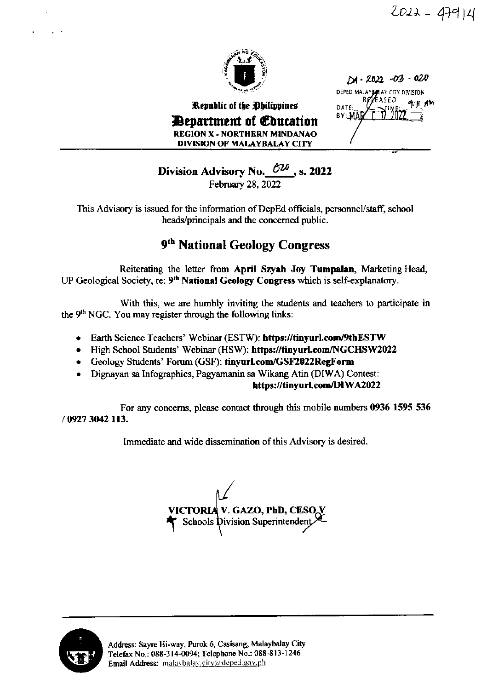$2022 - 47914$ 



Republic of the Ohilippines **Devartment of Education REGION X - NORTHERN MINDANAO** DIVISION OF MALAYBALAY CITY

 $12022 -03 -020$ DEPED MALAYBALAY CITY DIVISION R**eye**ased. **DATE** BY: MA

Division Advisory No.  $620$ , s. 2022

February 28, 2022

This Advisory is issued for the information of DepEd officials, personnel/staff, school heads/principals and the concerned public.

## 9th National Geology Congress

Reiterating the letter from April Szyah Joy Tumpalan, Marketing Head, UP Geological Society, re: 9<sup>th</sup> National Geology Congress which is self-explanatory.

With this, we are humbly inviting the students and teachers to participate in the 9<sup>th</sup> NGC. You may register through the following links:

- Earth Science Teachers' Webinar (ESTW): https://tinyurl.com/9thESTW  $\bullet$
- High School Students' Webinar (HSW): https://tinyurl.com/NGCHSW2022
- Geology Students' Forum (GSF): tinyurLcom/GSF2022RegForm
- Dignayan sa Infographics, Pagyamanin sa Wikang Atin (DIWA) Contest:

https://tinyurl.com/DIWA2022

For any concerns, please contact through this mobile numbers 0936 1595 536 / 0927 3042 113.

Immediate and wide dissemination of this Advisory is desired.

**VICTORIA V. GAZO, PhD, CESO V**  $\Gamma$  Schools Division Superintendent